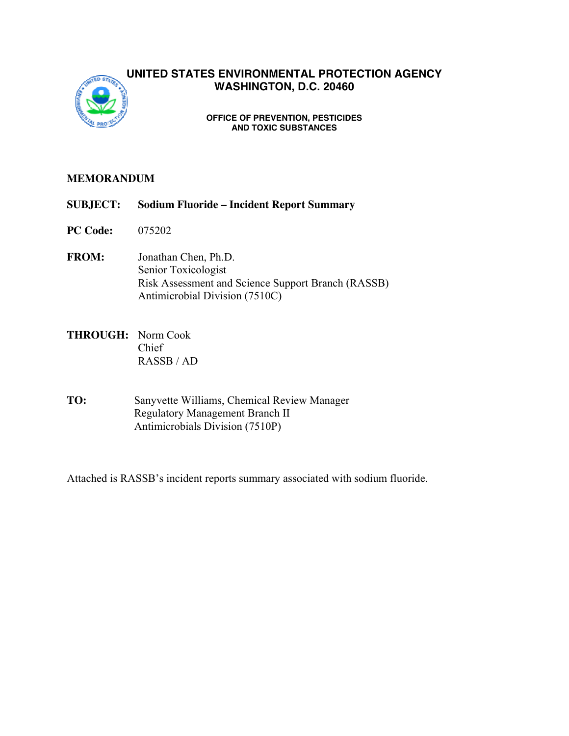

## **UNITED STATES ENVIRONMENTAL PROTECTION AGENCY WASHINGTON, D.C. 20460**

#### **OFFICE OF PREVENTION, PESTICIDES AND TOXIC SUBSTANCES**

### **MEMORANDUM**

- **SUBJECT: Sodium Fluoride Incident Report Summary**
- **PC Code:** 075202
- **FROM:** Jonathan Chen, Ph.D. Senior Toxicologist Risk Assessment and Science Support Branch (RASSB) Antimicrobial Division (7510C)
- **THROUGH:** Norm Cook Chief RASSB / AD
- **TO:** Sanyvette Williams, Chemical Review Manager Regulatory Management Branch II Antimicrobials Division (7510P)

Attached is RASSB's incident reports summary associated with sodium fluoride.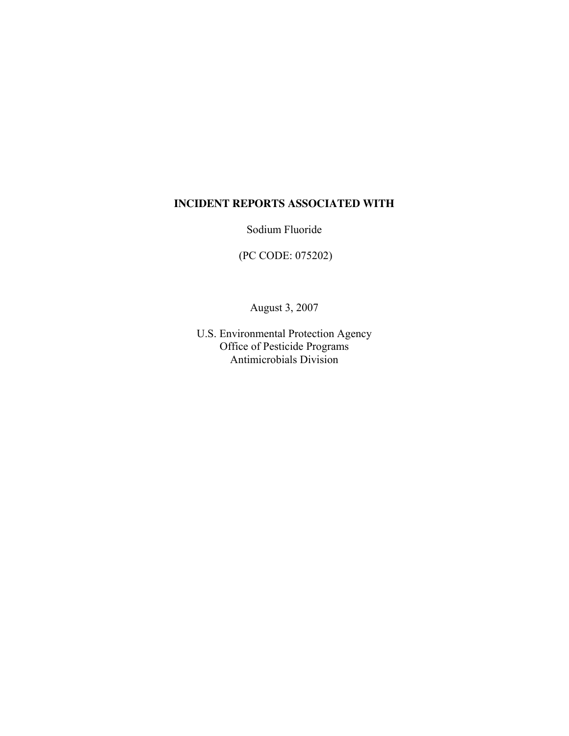## **INCIDENT REPORTS ASSOCIATED WITH**

Sodium Fluoride

(PC CODE: 075202)

August 3, 2007

U.S. Environmental Protection Agency Office of Pesticide Programs Antimicrobials Division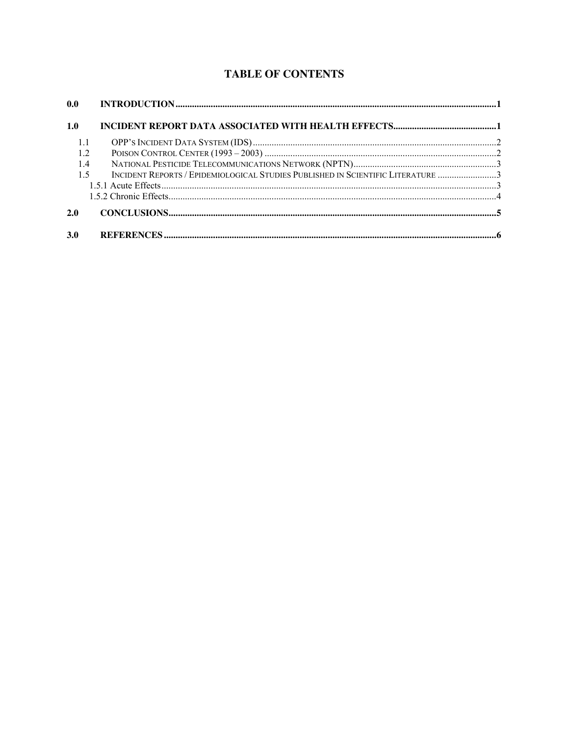# **TABLE OF CONTENTS**

| 0.0        |                                                                                 |  |
|------------|---------------------------------------------------------------------------------|--|
| 1.0        |                                                                                 |  |
|            |                                                                                 |  |
| 1.2        |                                                                                 |  |
| 1.4        |                                                                                 |  |
| 1.5        | INCIDENT REPORTS / EPIDEMIOLOGICAL STUDIES PUBLISHED IN SCIENTIFIC LITERATURE 3 |  |
|            |                                                                                 |  |
|            |                                                                                 |  |
| 2.0        |                                                                                 |  |
|            |                                                                                 |  |
| <b>3.0</b> |                                                                                 |  |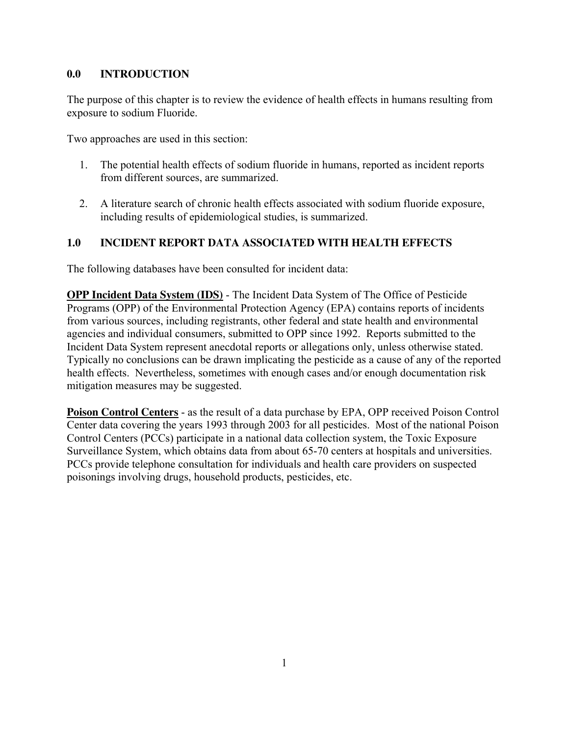### **0.0 INTRODUCTION**

The purpose of this chapter is to review the evidence of health effects in humans resulting from exposure to sodium Fluoride.

Two approaches are used in this section:

- 1. The potential health effects of sodium fluoride in humans, reported as incident reports from different sources, are summarized.
- 2. A literature search of chronic health effects associated with sodium fluoride exposure, including results of epidemiological studies, is summarized.

## **1.0 INCIDENT REPORT DATA ASSOCIATED WITH HEALTH EFFECTS**

The following databases have been consulted for incident data:

**OPP Incident Data System (IDS)** - The Incident Data System of The Office of Pesticide Programs (OPP) of the Environmental Protection Agency (EPA) contains reports of incidents from various sources, including registrants, other federal and state health and environmental agencies and individual consumers, submitted to OPP since 1992. Reports submitted to the Incident Data System represent anecdotal reports or allegations only, unless otherwise stated. Typically no conclusions can be drawn implicating the pesticide as a cause of any of the reported health effects. Nevertheless, sometimes with enough cases and/or enough documentation risk mitigation measures may be suggested.

**Poison Control Centers** - as the result of a data purchase by EPA, OPP received Poison Control Center data covering the years 1993 through 2003 for all pesticides. Most of the national Poison Control Centers (PCCs) participate in a national data collection system, the Toxic Exposure Surveillance System, which obtains data from about 65-70 centers at hospitals and universities. PCCs provide telephone consultation for individuals and health care providers on suspected poisonings involving drugs, household products, pesticides, etc.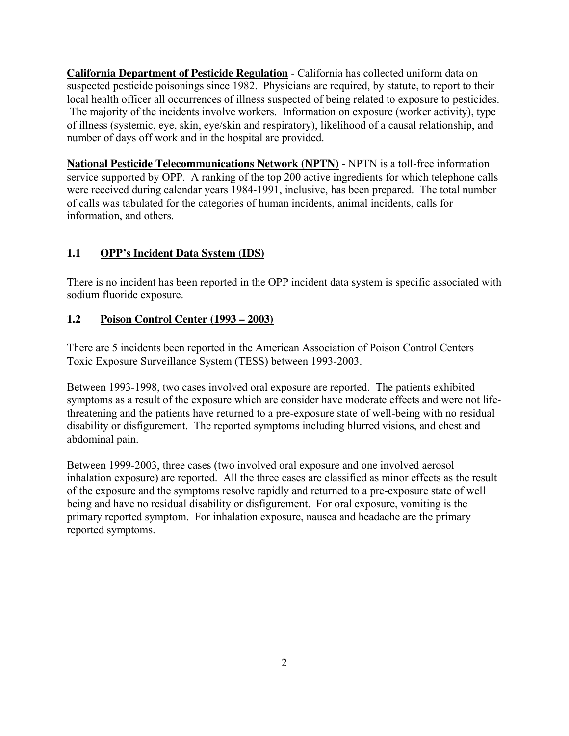**California Department of Pesticide Regulation** - California has collected uniform data on suspected pesticide poisonings since 1982. Physicians are required, by statute, to report to their local health officer all occurrences of illness suspected of being related to exposure to pesticides. The majority of the incidents involve workers. Information on exposure (worker activity), type of illness (systemic, eye, skin, eye/skin and respiratory), likelihood of a causal relationship, and number of days off work and in the hospital are provided.

**National Pesticide Telecommunications Network (NPTN)** - NPTN is a toll-free information service supported by OPP. A ranking of the top 200 active ingredients for which telephone calls were received during calendar years 1984-1991, inclusive, has been prepared. The total number of calls was tabulated for the categories of human incidents, animal incidents, calls for information, and others.

## **1.1 OPP's Incident Data System (IDS)**

There is no incident has been reported in the OPP incident data system is specific associated with sodium fluoride exposure.

## **1.2 Poison Control Center (1993 – 2003)**

There are 5 incidents been reported in the American Association of Poison Control Centers Toxic Exposure Surveillance System (TESS) between 1993-2003.

Between 1993-1998, two cases involved oral exposure are reported. The patients exhibited symptoms as a result of the exposure which are consider have moderate effects and were not lifethreatening and the patients have returned to a pre-exposure state of well-being with no residual disability or disfigurement. The reported symptoms including blurred visions, and chest and abdominal pain.

Between 1999-2003, three cases (two involved oral exposure and one involved aerosol inhalation exposure) are reported. All the three cases are classified as minor effects as the result of the exposure and the symptoms resolve rapidly and returned to a pre-exposure state of well being and have no residual disability or disfigurement. For oral exposure, vomiting is the primary reported symptom. For inhalation exposure, nausea and headache are the primary reported symptoms.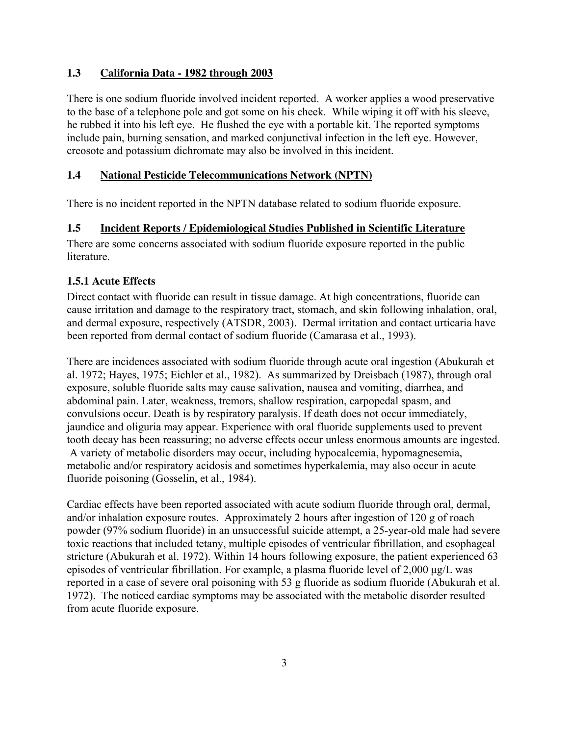#### **1.3 California Data - 1982 through 2003**

There is one sodium fluoride involved incident reported. A worker applies a wood preservative to the base of a telephone pole and got some on his cheek. While wiping it off with his sleeve, he rubbed it into his left eye. He flushed the eye with a portable kit. The reported symptoms include pain, burning sensation, and marked conjunctival infection in the left eye. However, creosote and potassium dichromate may also be involved in this incident.

### **1.4 National Pesticide Telecommunications Network (NPTN)**

There is no incident reported in the NPTN database related to sodium fluoride exposure.

#### **1.5 Incident Reports / Epidemiological Studies Published in Scientific Literature**

There are some concerns associated with sodium fluoride exposure reported in the public literature.

## **1.5.1 Acute Effects**

Direct contact with fluoride can result in tissue damage. At high concentrations, fluoride can cause irritation and damage to the respiratory tract, stomach, and skin following inhalation, oral, and dermal exposure, respectively (ATSDR, 2003). Dermal irritation and contact urticaria have been reported from dermal contact of sodium fluoride (Camarasa et al., 1993).

There are incidences associated with sodium fluoride through acute oral ingestion (Abukurah et al. 1972; Hayes, 1975; Eichler et al., 1982). As summarized by Dreisbach (1987), through oral exposure, soluble fluoride salts may cause salivation, nausea and vomiting, diarrhea, and abdominal pain. Later, weakness, tremors, shallow respiration, carpopedal spasm, and convulsions occur. Death is by respiratory paralysis. If death does not occur immediately, jaundice and oliguria may appear. Experience with oral fluoride supplements used to prevent tooth decay has been reassuring; no adverse effects occur unless enormous amounts are ingested. A variety of metabolic disorders may occur, including hypocalcemia, hypomagnesemia, metabolic and/or respiratory acidosis and sometimes hyperkalemia, may also occur in acute fluoride poisoning (Gosselin, et al., 1984).

Cardiac effects have been reported associated with acute sodium fluoride through oral, dermal, and/or inhalation exposure routes. Approximately 2 hours after ingestion of 120 g of roach powder (97% sodium fluoride) in an unsuccessful suicide attempt, a 25-year-old male had severe toxic reactions that included tetany, multiple episodes of ventricular fibrillation, and esophageal stricture (Abukurah et al. 1972). Within 14 hours following exposure, the patient experienced 63 episodes of ventricular fibrillation. For example, a plasma fluoride level of  $2,000 \mu g/L$  was reported in a case of severe oral poisoning with 53 g fluoride as sodium fluoride (Abukurah et al. 1972). The noticed cardiac symptoms may be associated with the metabolic disorder resulted from acute fluoride exposure.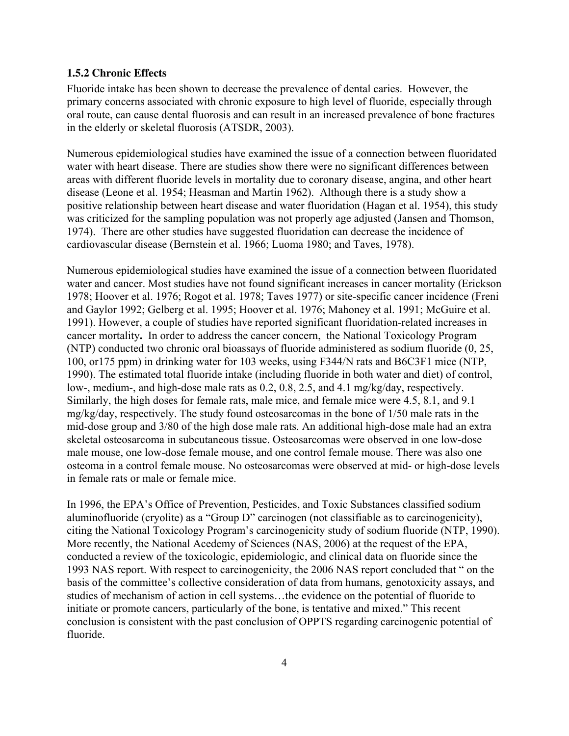#### **1.5.2 Chronic Effects**

Fluoride intake has been shown to decrease the prevalence of dental caries. However, the primary concerns associated with chronic exposure to high level of fluoride, especially through oral route, can cause dental fluorosis and can result in an increased prevalence of bone fractures in the elderly or skeletal fluorosis (ATSDR, 2003).

Numerous epidemiological studies have examined the issue of a connection between fluoridated water with heart disease. There are studies show there were no significant differences between areas with different fluoride levels in mortality due to coronary disease, angina, and other heart disease (Leone et al. 1954; Heasman and Martin 1962). Although there is a study show a positive relationship between heart disease and water fluoridation (Hagan et al. 1954), this study was criticized for the sampling population was not properly age adjusted (Jansen and Thomson, 1974). There are other studies have suggested fluoridation can decrease the incidence of cardiovascular disease (Bernstein et al. 1966; Luoma 1980; and Taves, 1978).

Numerous epidemiological studies have examined the issue of a connection between fluoridated water and cancer. Most studies have not found significant increases in cancer mortality (Erickson 1978; Hoover et al. 1976; Rogot et al. 1978; Taves 1977) or site-specific cancer incidence (Freni and Gaylor 1992; Gelberg et al. 1995; Hoover et al. 1976; Mahoney et al. 1991; McGuire et al. 1991). However, a couple of studies have reported significant fluoridation-related increases in cancer mortality**.** In order to address the cancer concern, the National Toxicology Program (NTP) conducted two chronic oral bioassays of fluoride administered as sodium fluoride (0, 25, 100, or175 ppm) in drinking water for 103 weeks, using F344/N rats and B6C3F1 mice (NTP, 1990). The estimated total fluoride intake (including fluoride in both water and diet) of control, low-, medium-, and high-dose male rats as 0.2, 0.8, 2.5, and 4.1 mg/kg/day, respectively. Similarly, the high doses for female rats, male mice, and female mice were 4.5, 8.1, and 9.1 mg/kg/day, respectively. The study found osteosarcomas in the bone of 1/50 male rats in the mid-dose group and 3/80 of the high dose male rats. An additional high-dose male had an extra skeletal osteosarcoma in subcutaneous tissue. Osteosarcomas were observed in one low-dose male mouse, one low-dose female mouse, and one control female mouse. There was also one osteoma in a control female mouse. No osteosarcomas were observed at mid- or high-dose levels in female rats or male or female mice.

In 1996, the EPA's Office of Prevention, Pesticides, and Toxic Substances classified sodium aluminofluoride (cryolite) as a "Group D" carcinogen (not classifiable as to carcinogenicity), citing the National Toxicology Program's carcinogenicity study of sodium fluoride (NTP, 1990). More recently, the National Acedemy of Sciences (NAS, 2006) at the request of the EPA, conducted a review of the toxicologic, epidemiologic, and clinical data on fluoride since the 1993 NAS report. With respect to carcinogenicity, the 2006 NAS report concluded that " on the basis of the committee's collective consideration of data from humans, genotoxicity assays, and studies of mechanism of action in cell systems…the evidence on the potential of fluoride to initiate or promote cancers, particularly of the bone, is tentative and mixed." This recent conclusion is consistent with the past conclusion of OPPTS regarding carcinogenic potential of fluoride.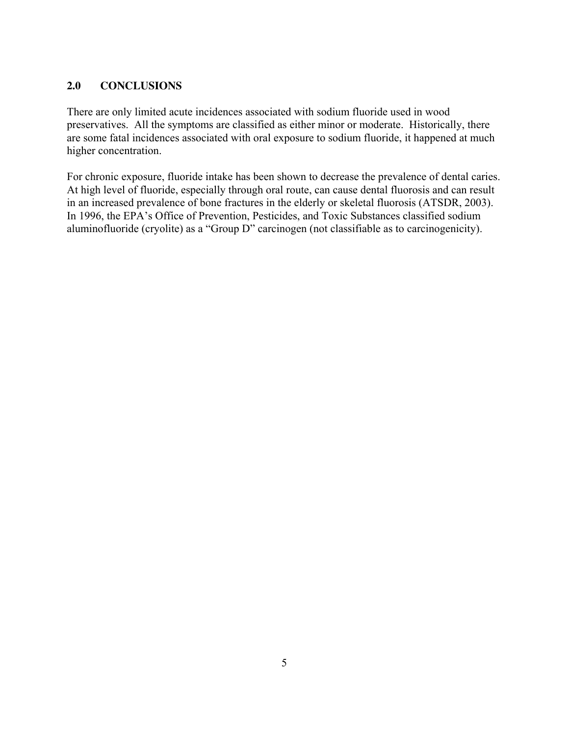## **2.0 CONCLUSIONS**

There are only limited acute incidences associated with sodium fluoride used in wood preservatives. All the symptoms are classified as either minor or moderate. Historically, there are some fatal incidences associated with oral exposure to sodium fluoride, it happened at much higher concentration.

For chronic exposure, fluoride intake has been shown to decrease the prevalence of dental caries. At high level of fluoride, especially through oral route, can cause dental fluorosis and can result in an increased prevalence of bone fractures in the elderly or skeletal fluorosis (ATSDR, 2003). In 1996, the EPA's Office of Prevention, Pesticides, and Toxic Substances classified sodium aluminofluoride (cryolite) as a "Group D" carcinogen (not classifiable as to carcinogenicity).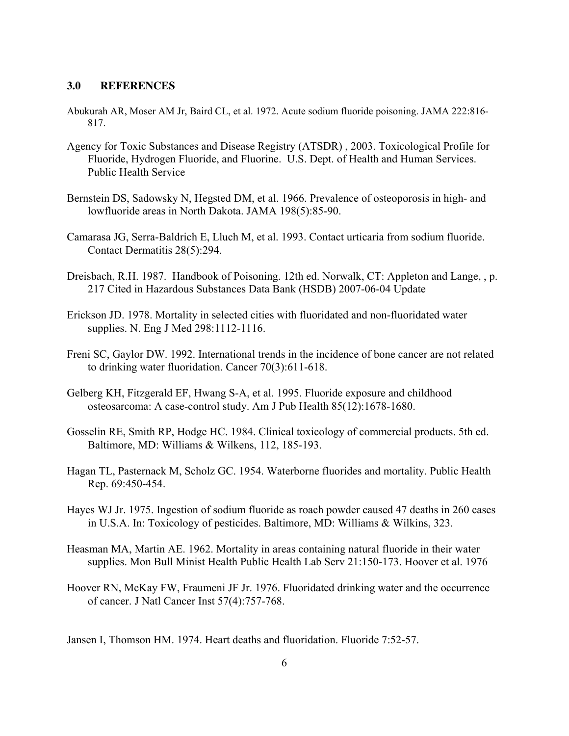#### **3.0 REFERENCES**

- Abukurah AR, Moser AM Jr, Baird CL, et al. 1972. Acute sodium fluoride poisoning. JAMA 222:816- 817.
- Agency for Toxic Substances and Disease Registry (ATSDR) , 2003. Toxicological Profile for Fluoride, Hydrogen Fluoride, and Fluorine. U.S. Dept. of Health and Human Services. Public Health Service
- Bernstein DS, Sadowsky N, Hegsted DM, et al. 1966. Prevalence of osteoporosis in high- and lowfluoride areas in North Dakota. JAMA 198(5):85-90.
- Camarasa JG, Serra-Baldrich E, Lluch M, et al. 1993. Contact urticaria from sodium fluoride. Contact Dermatitis 28(5):294.
- Dreisbach, R.H. 1987. Handbook of Poisoning. 12th ed. Norwalk, CT: Appleton and Lange, , p. 217 Cited in Hazardous Substances Data Bank (HSDB) 2007-06-04 Update
- Erickson JD. 1978. Mortality in selected cities with fluoridated and non-fluoridated water supplies. N. Eng J Med 298:1112-1116.
- Freni SC, Gaylor DW. 1992. International trends in the incidence of bone cancer are not related to drinking water fluoridation. Cancer 70(3):611-618.
- Gelberg KH, Fitzgerald EF, Hwang S-A, et al. 1995. Fluoride exposure and childhood osteosarcoma: A case-control study. Am J Pub Health 85(12):1678-1680.
- Gosselin RE, Smith RP, Hodge HC. 1984. Clinical toxicology of commercial products. 5th ed. Baltimore, MD: Williams & Wilkens, 112, 185-193.
- Hagan TL, Pasternack M, Scholz GC. 1954. Waterborne fluorides and mortality. Public Health Rep. 69:450-454.
- Hayes WJ Jr. 1975. Ingestion of sodium fluoride as roach powder caused 47 deaths in 260 cases in U.S.A. In: Toxicology of pesticides. Baltimore, MD: Williams  $\&$  Wilkins, 323.
- Heasman MA, Martin AE. 1962. Mortality in areas containing natural fluoride in their water supplies. Mon Bull Minist Health Public Health Lab Serv 21:150-173. Hoover et al. 1976
- Hoover RN, McKay FW, Fraumeni JF Jr. 1976. Fluoridated drinking water and the occurrence of cancer. J Natl Cancer Inst 57(4):757-768.

Jansen I, Thomson HM. 1974. Heart deaths and fluoridation. Fluoride 7:52-57.